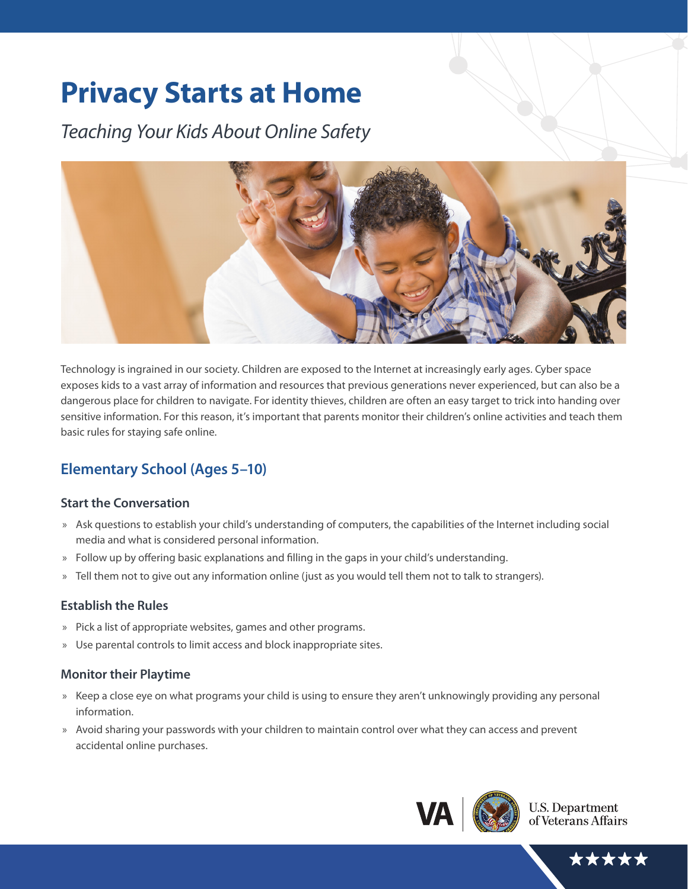# **Privacy Starts at Home**

*Teaching Your Kids About Online Safety*



Technology is ingrained in our society. Children are exposed to the Internet at increasingly early ages. Cyber space exposes kids to a vast array of information and resources that previous generations never experienced, but can also be a dangerous place for children to navigate. For identity thieves, children are often an easy target to trick into handing over sensitive information. For this reason, it's important that parents monitor their children's online activities and teach them basic rules for staying safe online.

## **Elementary School (Ages 5–10)**

#### **Start the Conversation**

- » Ask questions to establish your child's understanding of computers, the capabilities of the Internet including social media and what is considered personal information.
- » Follow up by offering basic explanations and filling in the gaps in your child's understanding.
- » Tell them not to give out any information online (just as you would tell them not to talk to strangers).

#### **Establish the Rules**

- » Pick a list of appropriate websites, games and other programs.
- » Use parental controls to limit access and block inappropriate sites.

#### **Monitor their Playtime**

- » Keep a close eye on what programs your child is using to ensure they aren't unknowingly providing any personal information.
- » Avoid sharing your passwords with your children to maintain control over what they can access and prevent accidental online purchases.



**U.S. Department** of Veterans Affairs